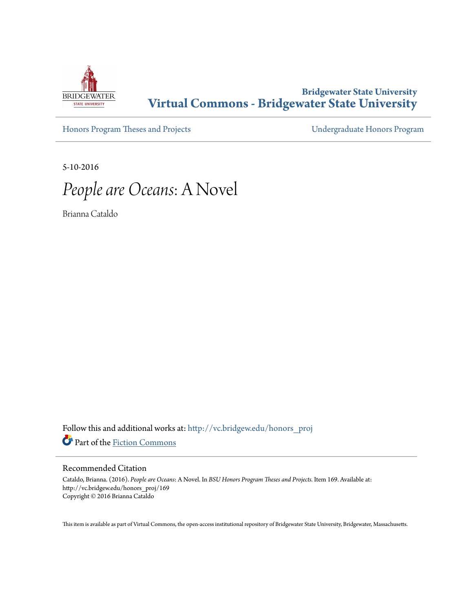

# **Bridgewater State University [Virtual Commons - Bridgewater State University](http://vc.bridgew.edu?utm_source=vc.bridgew.edu%2Fhonors_proj%2F169&utm_medium=PDF&utm_campaign=PDFCoverPages)**

[Honors Program Theses and Projects](http://vc.bridgew.edu/honors_proj?utm_source=vc.bridgew.edu%2Fhonors_proj%2F169&utm_medium=PDF&utm_campaign=PDFCoverPages) [Undergraduate Honors Program](http://vc.bridgew.edu/honors?utm_source=vc.bridgew.edu%2Fhonors_proj%2F169&utm_medium=PDF&utm_campaign=PDFCoverPages)

5-10-2016

*People are Oceans*: A Novel

Brianna Cataldo

Follow this and additional works at: [http://vc.bridgew.edu/honors\\_proj](http://vc.bridgew.edu/honors_proj?utm_source=vc.bridgew.edu%2Fhonors_proj%2F169&utm_medium=PDF&utm_campaign=PDFCoverPages) Part of the [Fiction Commons](http://network.bepress.com/hgg/discipline/1151?utm_source=vc.bridgew.edu%2Fhonors_proj%2F169&utm_medium=PDF&utm_campaign=PDFCoverPages)

#### Recommended Citation

Cataldo, Brianna. (2016). *People are Oceans*: A Novel. In *BSU Honors Program Theses and Projects.* Item 169. Available at: http://vc.bridgew.edu/honors\_proj/169 Copyright © 2016 Brianna Cataldo

This item is available as part of Virtual Commons, the open-access institutional repository of Bridgewater State University, Bridgewater, Massachusetts.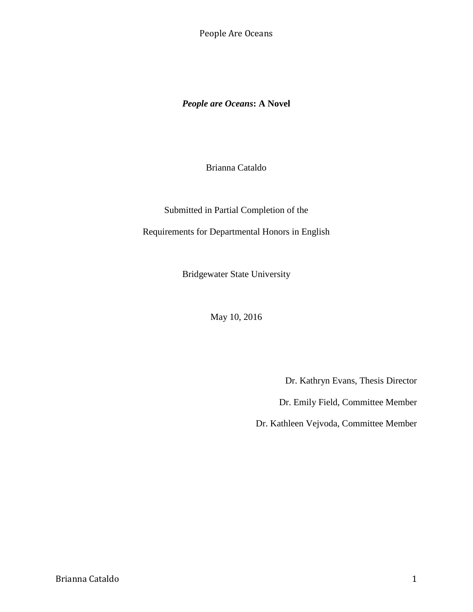*People are Oceans***: A Novel**

Brianna Cataldo

Submitted in Partial Completion of the

Requirements for Departmental Honors in English

Bridgewater State University

May 10, 2016

Dr. Kathryn Evans, Thesis Director

Dr. Emily Field, Committee Member

Dr. Kathleen Vejvoda, Committee Member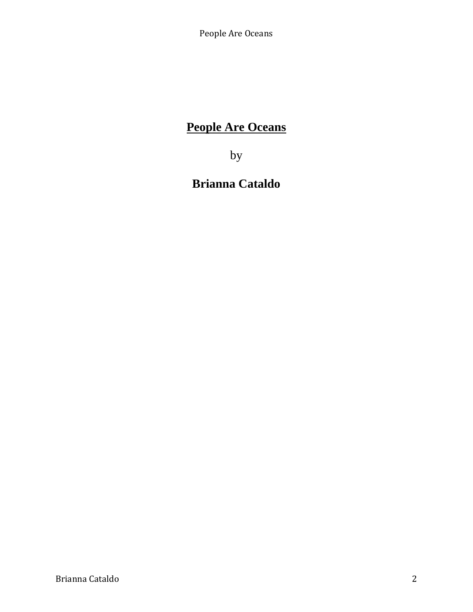# **People Are Oceans**

by

# **Brianna Cataldo**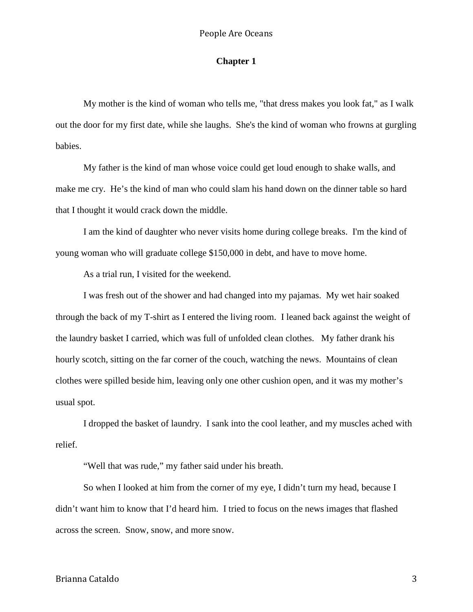# **Chapter 1**

My mother is the kind of woman who tells me, "that dress makes you look fat," as I walk out the door for my first date, while she laughs. She's the kind of woman who frowns at gurgling babies.

My father is the kind of man whose voice could get loud enough to shake walls, and make me cry. He's the kind of man who could slam his hand down on the dinner table so hard that I thought it would crack down the middle.

I am the kind of daughter who never visits home during college breaks. I'm the kind of young woman who will graduate college \$150,000 in debt, and have to move home.

As a trial run, I visited for the weekend.

I was fresh out of the shower and had changed into my pajamas. My wet hair soaked through the back of my T-shirt as I entered the living room. I leaned back against the weight of the laundry basket I carried, which was full of unfolded clean clothes. My father drank his hourly scotch, sitting on the far corner of the couch, watching the news. Mountains of clean clothes were spilled beside him, leaving only one other cushion open, and it was my mother's usual spot.

I dropped the basket of laundry. I sank into the cool leather, and my muscles ached with relief.

"Well that was rude," my father said under his breath.

So when I looked at him from the corner of my eye, I didn't turn my head, because I didn't want him to know that I'd heard him. I tried to focus on the news images that flashed across the screen. Snow, snow, and more snow.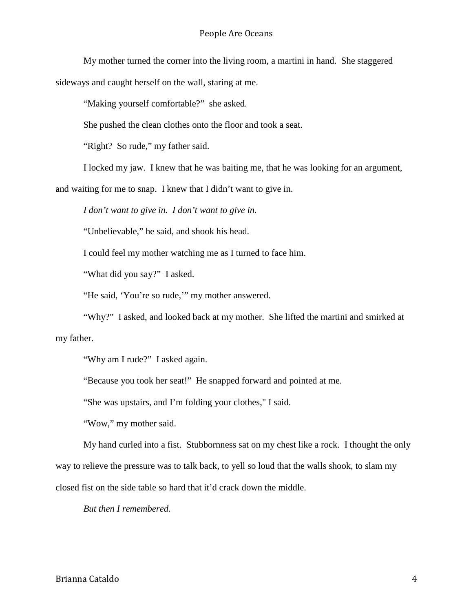My mother turned the corner into the living room, a martini in hand. She staggered sideways and caught herself on the wall, staring at me.

"Making yourself comfortable?" she asked.

She pushed the clean clothes onto the floor and took a seat.

"Right? So rude," my father said.

I locked my jaw. I knew that he was baiting me, that he was looking for an argument,

and waiting for me to snap. I knew that I didn't want to give in.

*I don't want to give in. I don't want to give in.*

"Unbelievable," he said, and shook his head.

I could feel my mother watching me as I turned to face him.

"What did you say?" I asked.

"He said, 'You're so rude,'" my mother answered.

"Why?" I asked, and looked back at my mother. She lifted the martini and smirked at my father.

"Why am I rude?" I asked again.

"Because you took her seat!" He snapped forward and pointed at me.

"She was upstairs, and I'm folding your clothes," I said.

"Wow," my mother said.

My hand curled into a fist. Stubbornness sat on my chest like a rock. I thought the only way to relieve the pressure was to talk back, to yell so loud that the walls shook, to slam my

closed fist on the side table so hard that it'd crack down the middle.

*But then I remembered.*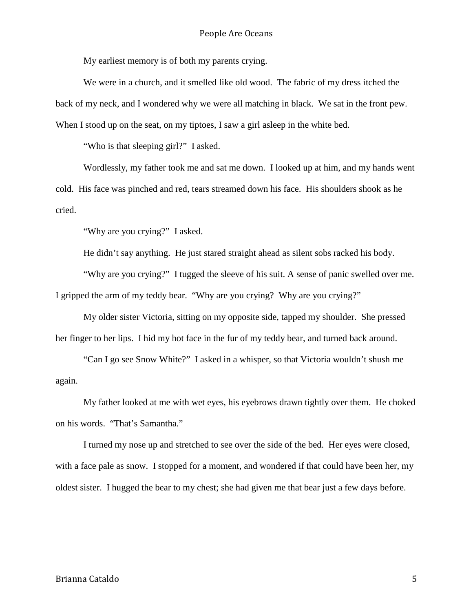My earliest memory is of both my parents crying.

We were in a church, and it smelled like old wood. The fabric of my dress itched the back of my neck, and I wondered why we were all matching in black. We sat in the front pew. When I stood up on the seat, on my tiptoes, I saw a girl asleep in the white bed.

"Who is that sleeping girl?" I asked.

Wordlessly, my father took me and sat me down. I looked up at him, and my hands went cold. His face was pinched and red, tears streamed down his face. His shoulders shook as he cried.

"Why are you crying?" I asked.

He didn't say anything. He just stared straight ahead as silent sobs racked his body.

"Why are you crying?" I tugged the sleeve of his suit. A sense of panic swelled over me. I gripped the arm of my teddy bear. "Why are you crying? Why are you crying?"

My older sister Victoria, sitting on my opposite side, tapped my shoulder. She pressed her finger to her lips. I hid my hot face in the fur of my teddy bear, and turned back around.

"Can I go see Snow White?" I asked in a whisper, so that Victoria wouldn't shush me again.

My father looked at me with wet eyes, his eyebrows drawn tightly over them. He choked on his words. "That's Samantha."

I turned my nose up and stretched to see over the side of the bed. Her eyes were closed, with a face pale as snow. I stopped for a moment, and wondered if that could have been her, my oldest sister. I hugged the bear to my chest; she had given me that bear just a few days before.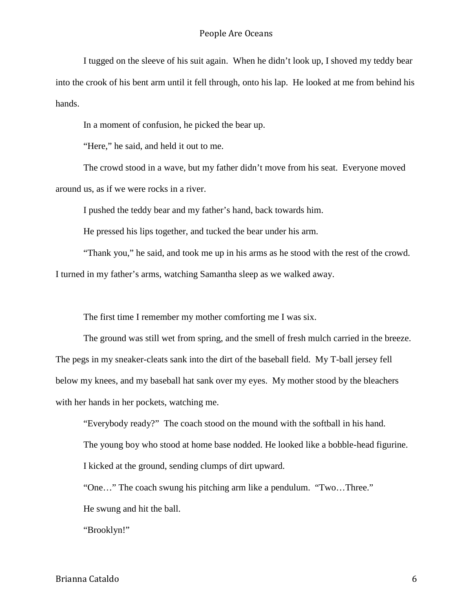I tugged on the sleeve of his suit again. When he didn't look up, I shoved my teddy bear into the crook of his bent arm until it fell through, onto his lap. He looked at me from behind his hands.

In a moment of confusion, he picked the bear up.

"Here," he said, and held it out to me.

The crowd stood in a wave, but my father didn't move from his seat. Everyone moved around us, as if we were rocks in a river.

I pushed the teddy bear and my father's hand, back towards him.

He pressed his lips together, and tucked the bear under his arm.

"Thank you," he said, and took me up in his arms as he stood with the rest of the crowd. I turned in my father's arms, watching Samantha sleep as we walked away.

The first time I remember my mother comforting me I was six.

The ground was still wet from spring, and the smell of fresh mulch carried in the breeze. The pegs in my sneaker-cleats sank into the dirt of the baseball field. My T-ball jersey fell below my knees, and my baseball hat sank over my eyes. My mother stood by the bleachers with her hands in her pockets, watching me.

"Everybody ready?" The coach stood on the mound with the softball in his hand.

The young boy who stood at home base nodded. He looked like a bobble-head figurine.

I kicked at the ground, sending clumps of dirt upward.

"One…" The coach swung his pitching arm like a pendulum. "Two…Three."

He swung and hit the ball.

"Brooklyn!"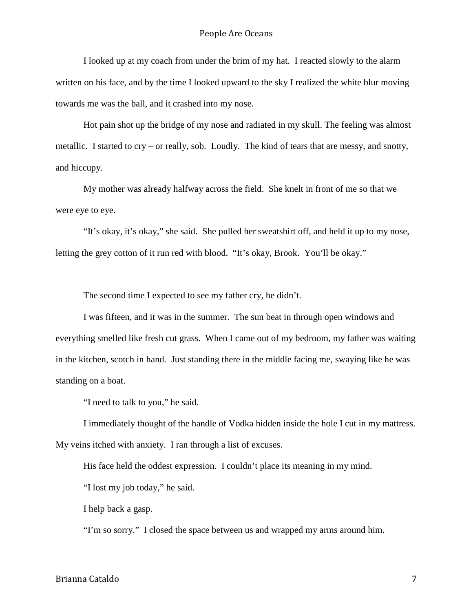I looked up at my coach from under the brim of my hat. I reacted slowly to the alarm written on his face, and by the time I looked upward to the sky I realized the white blur moving towards me was the ball, and it crashed into my nose.

Hot pain shot up the bridge of my nose and radiated in my skull. The feeling was almost metallic. I started to cry – or really, sob. Loudly. The kind of tears that are messy, and snotty, and hiccupy.

My mother was already halfway across the field. She knelt in front of me so that we were eye to eye.

"It's okay, it's okay," she said. She pulled her sweatshirt off, and held it up to my nose, letting the grey cotton of it run red with blood. "It's okay, Brook. You'll be okay."

The second time I expected to see my father cry, he didn't.

I was fifteen, and it was in the summer. The sun beat in through open windows and everything smelled like fresh cut grass. When I came out of my bedroom, my father was waiting in the kitchen, scotch in hand. Just standing there in the middle facing me, swaying like he was standing on a boat.

"I need to talk to you," he said.

I immediately thought of the handle of Vodka hidden inside the hole I cut in my mattress. My veins itched with anxiety. I ran through a list of excuses.

His face held the oddest expression. I couldn't place its meaning in my mind.

"I lost my job today," he said.

I help back a gasp.

"I'm so sorry." I closed the space between us and wrapped my arms around him.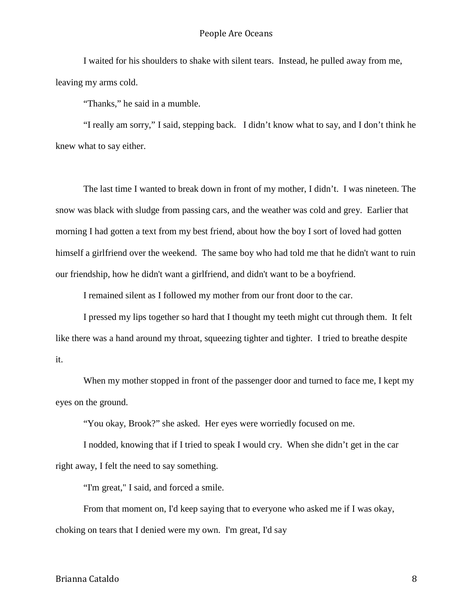I waited for his shoulders to shake with silent tears. Instead, he pulled away from me, leaving my arms cold.

"Thanks," he said in a mumble.

"I really am sorry," I said, stepping back. I didn't know what to say, and I don't think he knew what to say either.

The last time I wanted to break down in front of my mother, I didn't. I was nineteen. The snow was black with sludge from passing cars, and the weather was cold and grey. Earlier that morning I had gotten a text from my best friend, about how the boy I sort of loved had gotten himself a girlfriend over the weekend. The same boy who had told me that he didn't want to ruin our friendship, how he didn't want a girlfriend, and didn't want to be a boyfriend.

I remained silent as I followed my mother from our front door to the car.

I pressed my lips together so hard that I thought my teeth might cut through them. It felt like there was a hand around my throat, squeezing tighter and tighter. I tried to breathe despite it.

When my mother stopped in front of the passenger door and turned to face me, I kept my eyes on the ground.

"You okay, Brook?" she asked. Her eyes were worriedly focused on me.

I nodded, knowing that if I tried to speak I would cry. When she didn't get in the car right away, I felt the need to say something.

"I'm great," I said, and forced a smile.

From that moment on, I'd keep saying that to everyone who asked me if I was okay, choking on tears that I denied were my own. I'm great, I'd say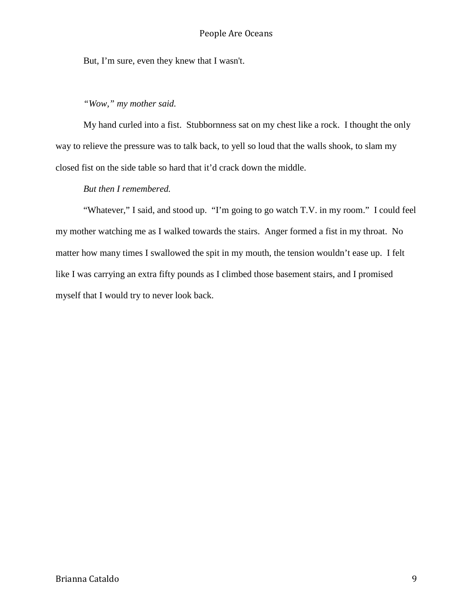But, I'm sure, even they knew that I wasn't.

# *"Wow," my mother said.*

My hand curled into a fist. Stubbornness sat on my chest like a rock. I thought the only way to relieve the pressure was to talk back, to yell so loud that the walls shook, to slam my closed fist on the side table so hard that it'd crack down the middle.

# *But then I remembered.*

"Whatever," I said, and stood up. "I'm going to go watch T.V. in my room." I could feel my mother watching me as I walked towards the stairs. Anger formed a fist in my throat. No matter how many times I swallowed the spit in my mouth, the tension wouldn't ease up. I felt like I was carrying an extra fifty pounds as I climbed those basement stairs, and I promised myself that I would try to never look back.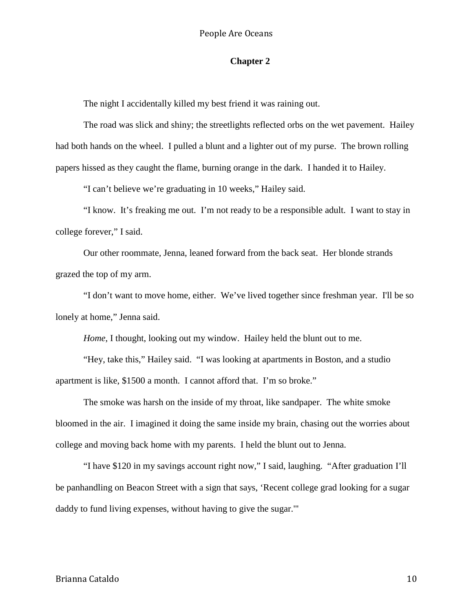# **Chapter 2**

The night I accidentally killed my best friend it was raining out.

The road was slick and shiny; the streetlights reflected orbs on the wet pavement. Hailey had both hands on the wheel. I pulled a blunt and a lighter out of my purse. The brown rolling papers hissed as they caught the flame, burning orange in the dark. I handed it to Hailey.

"I can't believe we're graduating in 10 weeks," Hailey said.

"I know. It's freaking me out. I'm not ready to be a responsible adult. I want to stay in college forever," I said.

Our other roommate, Jenna, leaned forward from the back seat. Her blonde strands grazed the top of my arm.

"I don't want to move home, either. We've lived together since freshman year. I'll be so lonely at home," Jenna said.

*Home*, I thought, looking out my window. Hailey held the blunt out to me.

"Hey, take this," Hailey said. "I was looking at apartments in Boston, and a studio apartment is like, \$1500 a month. I cannot afford that. I'm so broke."

The smoke was harsh on the inside of my throat, like sandpaper. The white smoke bloomed in the air. I imagined it doing the same inside my brain, chasing out the worries about college and moving back home with my parents. I held the blunt out to Jenna.

"I have \$120 in my savings account right now," I said, laughing. "After graduation I'll be panhandling on Beacon Street with a sign that says, 'Recent college grad looking for a sugar daddy to fund living expenses, without having to give the sugar.'"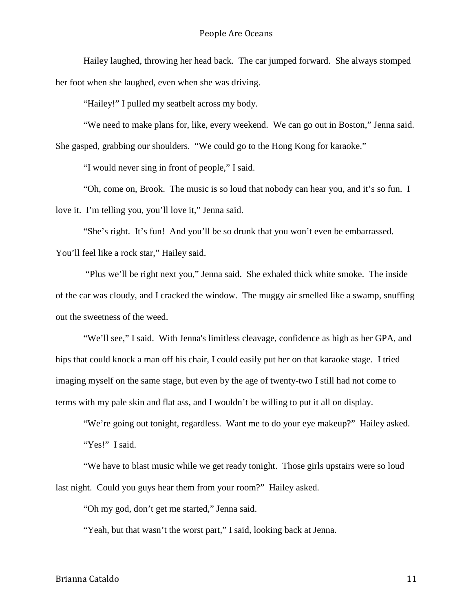Hailey laughed, throwing her head back. The car jumped forward. She always stomped her foot when she laughed, even when she was driving.

"Hailey!" I pulled my seatbelt across my body.

"We need to make plans for, like, every weekend. We can go out in Boston," Jenna said. She gasped, grabbing our shoulders. "We could go to the Hong Kong for karaoke."

"I would never sing in front of people," I said.

"Oh, come on, Brook. The music is so loud that nobody can hear you, and it's so fun. I love it. I'm telling you, you'll love it," Jenna said.

"She's right. It's fun! And you'll be so drunk that you won't even be embarrassed. You'll feel like a rock star," Hailey said.

"Plus we'll be right next you," Jenna said. She exhaled thick white smoke. The inside of the car was cloudy, and I cracked the window. The muggy air smelled like a swamp, snuffing out the sweetness of the weed.

"We'll see," I said. With Jenna's limitless cleavage, confidence as high as her GPA, and hips that could knock a man off his chair, I could easily put her on that karaoke stage. I tried imaging myself on the same stage, but even by the age of twenty-two I still had not come to terms with my pale skin and flat ass, and I wouldn't be willing to put it all on display.

"We're going out tonight, regardless. Want me to do your eye makeup?" Hailey asked. "Yes!" I said.

"We have to blast music while we get ready tonight. Those girls upstairs were so loud last night. Could you guys hear them from your room?" Hailey asked.

"Oh my god, don't get me started," Jenna said.

"Yeah, but that wasn't the worst part," I said, looking back at Jenna.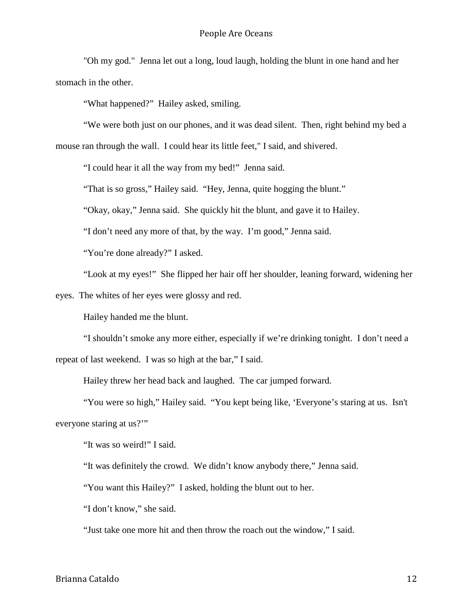"Oh my god." Jenna let out a long, loud laugh, holding the blunt in one hand and her stomach in the other.

"What happened?" Hailey asked, smiling.

"We were both just on our phones, and it was dead silent. Then, right behind my bed a mouse ran through the wall. I could hear its little feet," I said, and shivered.

"I could hear it all the way from my bed!" Jenna said.

"That is so gross," Hailey said. "Hey, Jenna, quite hogging the blunt."

"Okay, okay," Jenna said. She quickly hit the blunt, and gave it to Hailey.

"I don't need any more of that, by the way. I'm good," Jenna said.

"You're done already?" I asked.

"Look at my eyes!" She flipped her hair off her shoulder, leaning forward, widening her

eyes. The whites of her eyes were glossy and red.

Hailey handed me the blunt.

"I shouldn't smoke any more either, especially if we're drinking tonight. I don't need a repeat of last weekend. I was so high at the bar," I said.

Hailey threw her head back and laughed. The car jumped forward.

"You were so high," Hailey said. "You kept being like, 'Everyone's staring at us. Isn't everyone staring at us?'"

"It was so weird!" I said.

"It was definitely the crowd. We didn't know anybody there," Jenna said.

"You want this Hailey?" I asked, holding the blunt out to her.

"I don't know," she said.

"Just take one more hit and then throw the roach out the window," I said.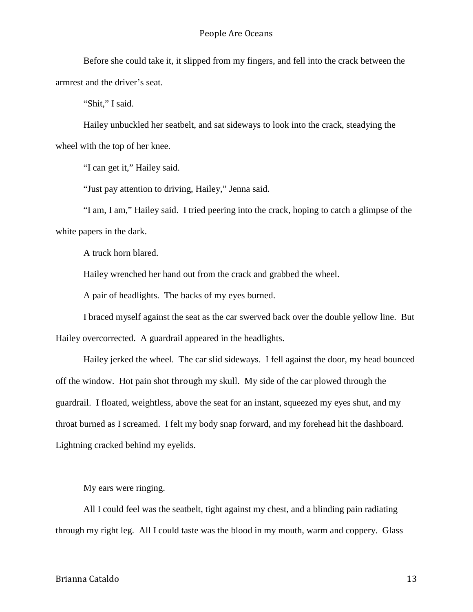Before she could take it, it slipped from my fingers, and fell into the crack between the armrest and the driver's seat.

"Shit," I said.

Hailey unbuckled her seatbelt, and sat sideways to look into the crack, steadying the wheel with the top of her knee.

"I can get it," Hailey said.

"Just pay attention to driving, Hailey," Jenna said.

"I am, I am," Hailey said. I tried peering into the crack, hoping to catch a glimpse of the white papers in the dark.

A truck horn blared.

Hailey wrenched her hand out from the crack and grabbed the wheel.

A pair of headlights. The backs of my eyes burned.

I braced myself against the seat as the car swerved back over the double yellow line. But Hailey overcorrected. A guardrail appeared in the headlights.

Hailey jerked the wheel. The car slid sideways. I fell against the door, my head bounced off the window. Hot pain shot through my skull. My side of the car plowed through the guardrail. I floated, weightless, above the seat for an instant, squeezed my eyes shut, and my throat burned as I screamed. I felt my body snap forward, and my forehead hit the dashboard. Lightning cracked behind my eyelids.

My ears were ringing.

All I could feel was the seatbelt, tight against my chest, and a blinding pain radiating through my right leg. All I could taste was the blood in my mouth, warm and coppery. Glass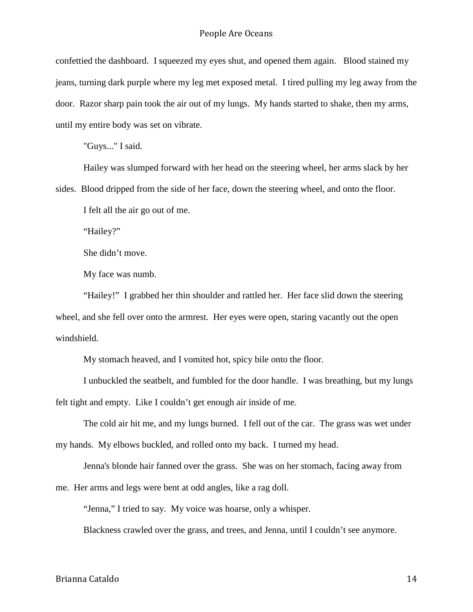confettied the dashboard. I squeezed my eyes shut, and opened them again. Blood stained my jeans, turning dark purple where my leg met exposed metal. I tired pulling my leg away from the door. Razor sharp pain took the air out of my lungs. My hands started to shake, then my arms, until my entire body was set on vibrate.

"Guys..." I said.

Hailey was slumped forward with her head on the steering wheel, her arms slack by her sides. Blood dripped from the side of her face, down the steering wheel, and onto the floor.

I felt all the air go out of me.

"Hailey?"

She didn't move.

My face was numb.

"Hailey!" I grabbed her thin shoulder and rattled her. Her face slid down the steering wheel, and she fell over onto the armrest. Her eyes were open, staring vacantly out the open windshield.

My stomach heaved, and I vomited hot, spicy bile onto the floor.

I unbuckled the seatbelt, and fumbled for the door handle. I was breathing, but my lungs felt tight and empty. Like I couldn't get enough air inside of me.

The cold air hit me, and my lungs burned. I fell out of the car. The grass was wet under my hands. My elbows buckled, and rolled onto my back. I turned my head.

Jenna's blonde hair fanned over the grass. She was on her stomach, facing away from

me. Her arms and legs were bent at odd angles, like a rag doll.

"Jenna," I tried to say. My voice was hoarse, only a whisper.

Blackness crawled over the grass, and trees, and Jenna, until I couldn't see anymore.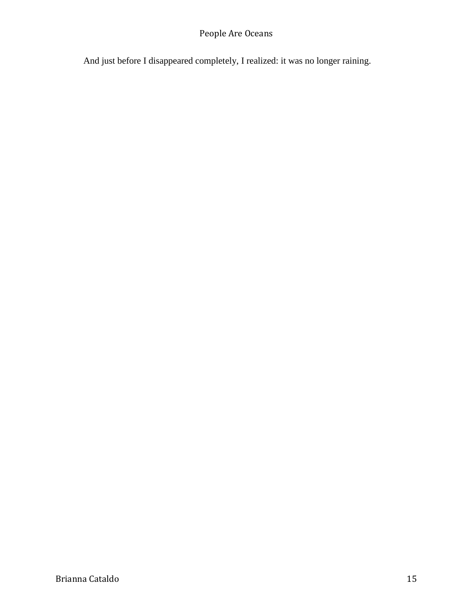And just before I disappeared completely, I realized: it was no longer raining.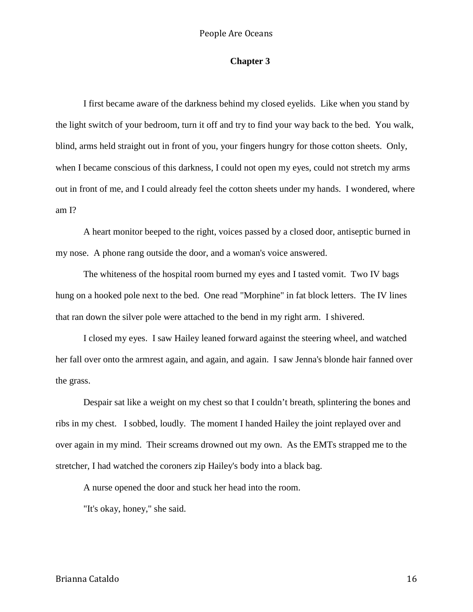# **Chapter 3**

I first became aware of the darkness behind my closed eyelids. Like when you stand by the light switch of your bedroom, turn it off and try to find your way back to the bed. You walk, blind, arms held straight out in front of you, your fingers hungry for those cotton sheets. Only, when I became conscious of this darkness, I could not open my eyes, could not stretch my arms out in front of me, and I could already feel the cotton sheets under my hands. I wondered, where am I?

A heart monitor beeped to the right, voices passed by a closed door, antiseptic burned in my nose. A phone rang outside the door, and a woman's voice answered.

The whiteness of the hospital room burned my eyes and I tasted vomit. Two IV bags hung on a hooked pole next to the bed. One read "Morphine" in fat block letters. The IV lines that ran down the silver pole were attached to the bend in my right arm. I shivered.

I closed my eyes. I saw Hailey leaned forward against the steering wheel, and watched her fall over onto the armrest again, and again, and again. I saw Jenna's blonde hair fanned over the grass.

Despair sat like a weight on my chest so that I couldn't breath, splintering the bones and ribs in my chest. I sobbed, loudly. The moment I handed Hailey the joint replayed over and over again in my mind. Their screams drowned out my own. As the EMTs strapped me to the stretcher, I had watched the coroners zip Hailey's body into a black bag.

A nurse opened the door and stuck her head into the room.

"It's okay, honey," she said.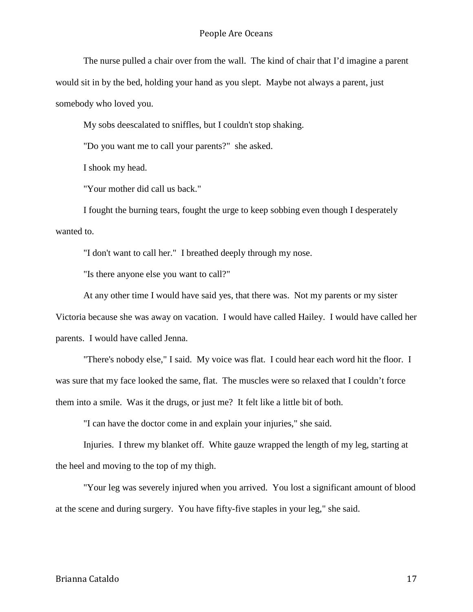The nurse pulled a chair over from the wall. The kind of chair that I'd imagine a parent would sit in by the bed, holding your hand as you slept. Maybe not always a parent, just somebody who loved you.

My sobs deescalated to sniffles, but I couldn't stop shaking.

"Do you want me to call your parents?" she asked.

I shook my head.

"Your mother did call us back."

I fought the burning tears, fought the urge to keep sobbing even though I desperately wanted to.

"I don't want to call her." I breathed deeply through my nose.

"Is there anyone else you want to call?"

At any other time I would have said yes, that there was. Not my parents or my sister Victoria because she was away on vacation. I would have called Hailey. I would have called her parents. I would have called Jenna.

"There's nobody else," I said. My voice was flat. I could hear each word hit the floor. I was sure that my face looked the same, flat. The muscles were so relaxed that I couldn't force them into a smile. Was it the drugs, or just me? It felt like a little bit of both.

"I can have the doctor come in and explain your injuries," she said.

Injuries. I threw my blanket off. White gauze wrapped the length of my leg, starting at the heel and moving to the top of my thigh.

"Your leg was severely injured when you arrived. You lost a significant amount of blood at the scene and during surgery. You have fifty-five staples in your leg," she said.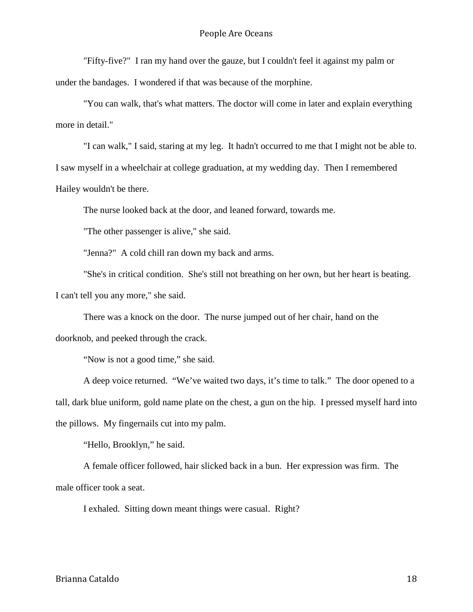"Fifty-five?" I ran my hand over the gauze, but I couldn't feel it against my palm or

under the bandages. I wondered if that was because of the morphine.

"You can walk, that's what matters. The doctor will come in later and explain everything more in detail."

"I can walk," I said, staring at my leg. It hadn't occurred to me that I might not be able to. I saw myself in a wheelchair at college graduation, at my wedding day. Then I remembered Hailey wouldn't be there.

The nurse looked back at the door, and leaned forward, towards me.

"The other passenger is alive," she said.

"Jenna?" A cold chill ran down my back and arms.

"She's in critical condition. She's still not breathing on her own, but her heart is beating. I can't tell you any more," she said.

There was a knock on the door. The nurse jumped out of her chair, hand on the doorknob, and peeked through the crack.

"Now is not a good time," she said.

A deep voice returned. "We've waited two days, it's time to talk." The door opened to a tall, dark blue uniform, gold name plate on the chest, a gun on the hip. I pressed myself hard into the pillows. My fingernails cut into my palm.

"Hello, Brooklyn," he said.

A female officer followed, hair slicked back in a bun. Her expression was firm. The male officer took a seat.

I exhaled. Sitting down meant things were casual. Right?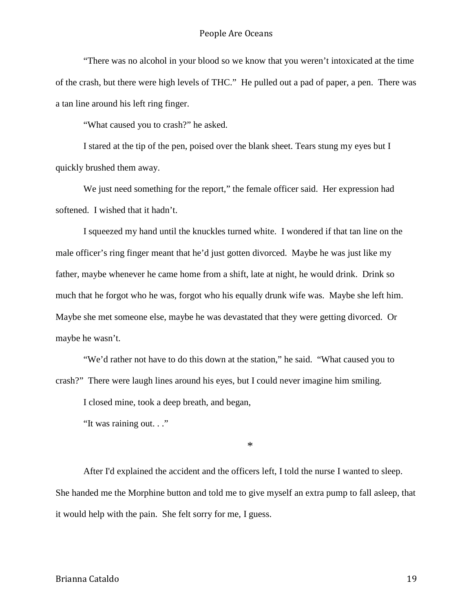"There was no alcohol in your blood so we know that you weren't intoxicated at the time of the crash, but there were high levels of THC." He pulled out a pad of paper, a pen. There was a tan line around his left ring finger.

"What caused you to crash?" he asked.

I stared at the tip of the pen, poised over the blank sheet. Tears stung my eyes but I quickly brushed them away.

We just need something for the report," the female officer said. Her expression had softened. I wished that it hadn't.

I squeezed my hand until the knuckles turned white. I wondered if that tan line on the male officer's ring finger meant that he'd just gotten divorced. Maybe he was just like my father, maybe whenever he came home from a shift, late at night, he would drink. Drink so much that he forgot who he was, forgot who his equally drunk wife was. Maybe she left him. Maybe she met someone else, maybe he was devastated that they were getting divorced. Or maybe he wasn't.

"We'd rather not have to do this down at the station," he said. "What caused you to crash?" There were laugh lines around his eyes, but I could never imagine him smiling.

I closed mine, took a deep breath, and began,

"It was raining out. . ."

\*

After I'd explained the accident and the officers left, I told the nurse I wanted to sleep. She handed me the Morphine button and told me to give myself an extra pump to fall asleep, that it would help with the pain. She felt sorry for me, I guess.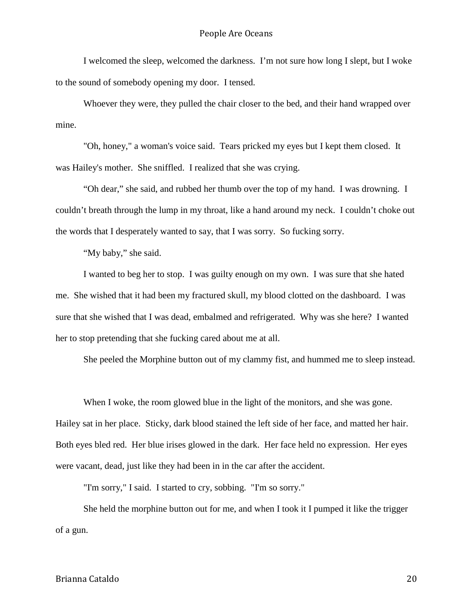I welcomed the sleep, welcomed the darkness. I'm not sure how long I slept, but I woke to the sound of somebody opening my door. I tensed.

Whoever they were, they pulled the chair closer to the bed, and their hand wrapped over mine.

"Oh, honey," a woman's voice said. Tears pricked my eyes but I kept them closed. It was Hailey's mother. She sniffled. I realized that she was crying.

"Oh dear," she said, and rubbed her thumb over the top of my hand. I was drowning. I couldn't breath through the lump in my throat, like a hand around my neck. I couldn't choke out the words that I desperately wanted to say, that I was sorry. So fucking sorry.

"My baby," she said.

I wanted to beg her to stop. I was guilty enough on my own. I was sure that she hated me. She wished that it had been my fractured skull, my blood clotted on the dashboard. I was sure that she wished that I was dead, embalmed and refrigerated. Why was she here? I wanted her to stop pretending that she fucking cared about me at all.

She peeled the Morphine button out of my clammy fist, and hummed me to sleep instead.

When I woke, the room glowed blue in the light of the monitors, and she was gone. Hailey sat in her place. Sticky, dark blood stained the left side of her face, and matted her hair. Both eyes bled red. Her blue irises glowed in the dark. Her face held no expression. Her eyes were vacant, dead, just like they had been in in the car after the accident.

"I'm sorry," I said. I started to cry, sobbing. "I'm so sorry."

She held the morphine button out for me, and when I took it I pumped it like the trigger of a gun.

Brianna Cataldo 20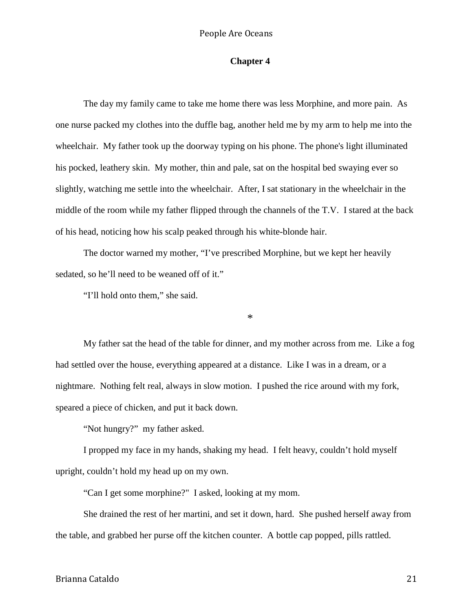# **Chapter 4**

The day my family came to take me home there was less Morphine, and more pain. As one nurse packed my clothes into the duffle bag, another held me by my arm to help me into the wheelchair. My father took up the doorway typing on his phone. The phone's light illuminated his pocked, leathery skin. My mother, thin and pale, sat on the hospital bed swaying ever so slightly, watching me settle into the wheelchair. After, I sat stationary in the wheelchair in the middle of the room while my father flipped through the channels of the T.V. I stared at the back of his head, noticing how his scalp peaked through his white-blonde hair.

The doctor warned my mother, "I've prescribed Morphine, but we kept her heavily sedated, so he'll need to be weaned off of it."

"I'll hold onto them," she said.

\*

My father sat the head of the table for dinner, and my mother across from me. Like a fog had settled over the house, everything appeared at a distance. Like I was in a dream, or a nightmare. Nothing felt real, always in slow motion. I pushed the rice around with my fork, speared a piece of chicken, and put it back down.

"Not hungry?" my father asked.

I propped my face in my hands, shaking my head. I felt heavy, couldn't hold myself upright, couldn't hold my head up on my own.

"Can I get some morphine?" I asked, looking at my mom.

She drained the rest of her martini, and set it down, hard. She pushed herself away from the table, and grabbed her purse off the kitchen counter. A bottle cap popped, pills rattled.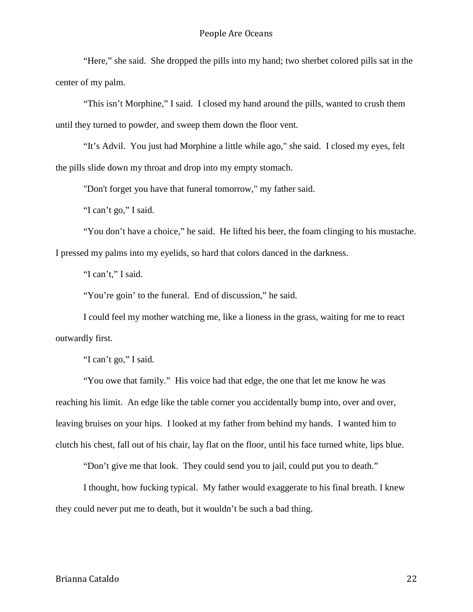"Here," she said. She dropped the pills into my hand; two sherbet colored pills sat in the center of my palm.

"This isn't Morphine," I said. I closed my hand around the pills, wanted to crush them until they turned to powder, and sweep them down the floor vent.

"It's Advil. You just had Morphine a little while ago," she said. I closed my eyes, felt the pills slide down my throat and drop into my empty stomach.

"Don't forget you have that funeral tomorrow," my father said.

"I can't go," I said.

"You don't have a choice," he said. He lifted his beer, the foam clinging to his mustache. I pressed my palms into my eyelids, so hard that colors danced in the darkness.

"I can't," I said.

"You're goin' to the funeral. End of discussion," he said.

I could feel my mother watching me, like a lioness in the grass, waiting for me to react outwardly first.

"I can't go," I said.

"You owe that family." His voice had that edge, the one that let me know he was reaching his limit. An edge like the table corner you accidentally bump into, over and over, leaving bruises on your hips. I looked at my father from behind my hands. I wanted him to clutch his chest, fall out of his chair, lay flat on the floor, until his face turned white, lips blue.

"Don't give me that look. They could send you to jail, could put you to death."

I thought, how fucking typical. My father would exaggerate to his final breath. I knew they could never put me to death, but it wouldn't be such a bad thing.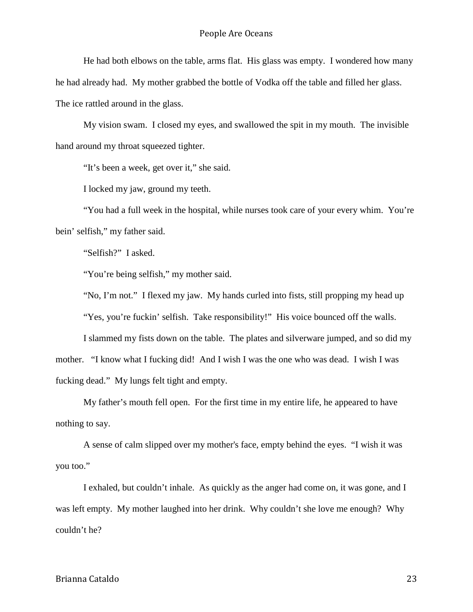He had both elbows on the table, arms flat. His glass was empty. I wondered how many he had already had. My mother grabbed the bottle of Vodka off the table and filled her glass. The ice rattled around in the glass.

My vision swam. I closed my eyes, and swallowed the spit in my mouth. The invisible hand around my throat squeezed tighter.

"It's been a week, get over it," she said.

I locked my jaw, ground my teeth.

"You had a full week in the hospital, while nurses took care of your every whim. You're bein' selfish," my father said.

"Selfish?" I asked.

"You're being selfish," my mother said.

"No, I'm not." I flexed my jaw. My hands curled into fists, still propping my head up

"Yes, you're fuckin' selfish. Take responsibility!" His voice bounced off the walls.

I slammed my fists down on the table. The plates and silverware jumped, and so did my mother. "I know what I fucking did! And I wish I was the one who was dead. I wish I was fucking dead." My lungs felt tight and empty.

My father's mouth fell open. For the first time in my entire life, he appeared to have nothing to say.

A sense of calm slipped over my mother's face, empty behind the eyes. "I wish it was you too."

I exhaled, but couldn't inhale. As quickly as the anger had come on, it was gone, and I was left empty. My mother laughed into her drink. Why couldn't she love me enough? Why couldn't he?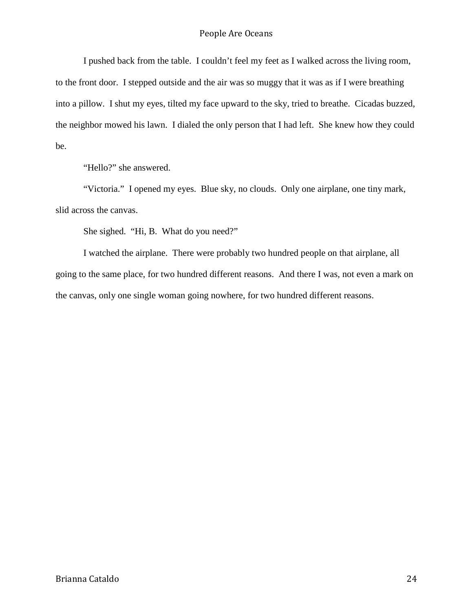I pushed back from the table. I couldn't feel my feet as I walked across the living room, to the front door. I stepped outside and the air was so muggy that it was as if I were breathing into a pillow. I shut my eyes, tilted my face upward to the sky, tried to breathe. Cicadas buzzed, the neighbor mowed his lawn. I dialed the only person that I had left. She knew how they could be.

"Hello?" she answered.

"Victoria." I opened my eyes. Blue sky, no clouds. Only one airplane, one tiny mark, slid across the canvas.

She sighed. "Hi, B. What do you need?"

I watched the airplane. There were probably two hundred people on that airplane, all going to the same place, for two hundred different reasons. And there I was, not even a mark on the canvas, only one single woman going nowhere, for two hundred different reasons.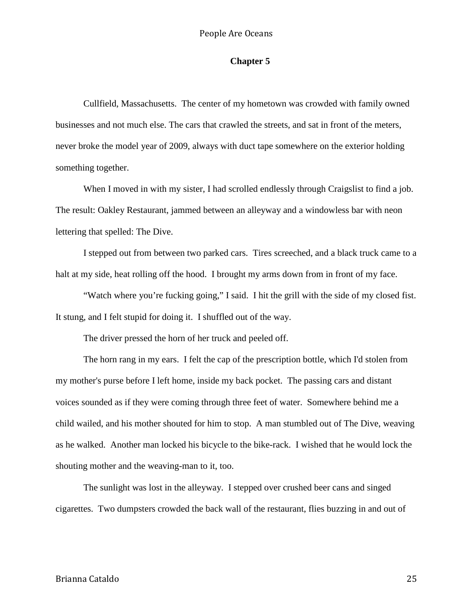# **Chapter 5**

Cullfield, Massachusetts. The center of my hometown was crowded with family owned businesses and not much else. The cars that crawled the streets, and sat in front of the meters, never broke the model year of 2009, always with duct tape somewhere on the exterior holding something together.

When I moved in with my sister, I had scrolled endlessly through Craigslist to find a job. The result: Oakley Restaurant, jammed between an alleyway and a windowless bar with neon lettering that spelled: The Dive.

I stepped out from between two parked cars. Tires screeched, and a black truck came to a halt at my side, heat rolling off the hood. I brought my arms down from in front of my face.

"Watch where you're fucking going," I said. I hit the grill with the side of my closed fist. It stung, and I felt stupid for doing it. I shuffled out of the way.

The driver pressed the horn of her truck and peeled off.

The horn rang in my ears. I felt the cap of the prescription bottle, which I'd stolen from my mother's purse before I left home, inside my back pocket. The passing cars and distant voices sounded as if they were coming through three feet of water. Somewhere behind me a child wailed, and his mother shouted for him to stop. A man stumbled out of The Dive, weaving as he walked. Another man locked his bicycle to the bike-rack. I wished that he would lock the shouting mother and the weaving-man to it, too.

The sunlight was lost in the alleyway. I stepped over crushed beer cans and singed cigarettes. Two dumpsters crowded the back wall of the restaurant, flies buzzing in and out of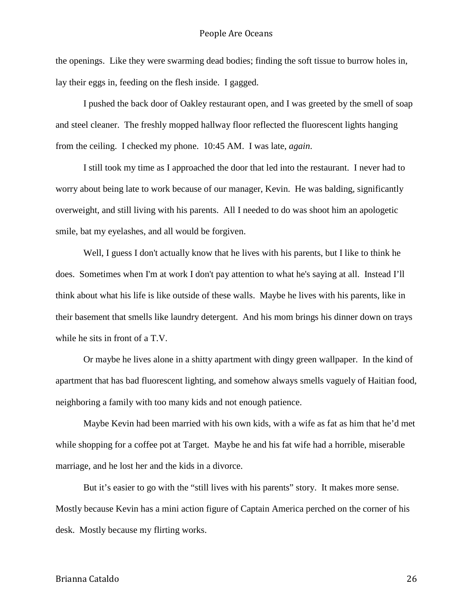the openings. Like they were swarming dead bodies; finding the soft tissue to burrow holes in, lay their eggs in, feeding on the flesh inside. I gagged.

I pushed the back door of Oakley restaurant open, and I was greeted by the smell of soap and steel cleaner. The freshly mopped hallway floor reflected the fluorescent lights hanging from the ceiling. I checked my phone. 10:45 AM. I was late, *again*.

I still took my time as I approached the door that led into the restaurant. I never had to worry about being late to work because of our manager, Kevin. He was balding, significantly overweight, and still living with his parents. All I needed to do was shoot him an apologetic smile, bat my eyelashes, and all would be forgiven.

Well, I guess I don't actually know that he lives with his parents, but I like to think he does. Sometimes when I'm at work I don't pay attention to what he's saying at all. Instead I'll think about what his life is like outside of these walls. Maybe he lives with his parents, like in their basement that smells like laundry detergent. And his mom brings his dinner down on trays while he sits in front of a T.V.

Or maybe he lives alone in a shitty apartment with dingy green wallpaper. In the kind of apartment that has bad fluorescent lighting, and somehow always smells vaguely of Haitian food, neighboring a family with too many kids and not enough patience.

Maybe Kevin had been married with his own kids, with a wife as fat as him that he'd met while shopping for a coffee pot at Target. Maybe he and his fat wife had a horrible, miserable marriage, and he lost her and the kids in a divorce.

But it's easier to go with the "still lives with his parents" story. It makes more sense. Mostly because Kevin has a mini action figure of Captain America perched on the corner of his desk. Mostly because my flirting works.

# Brianna Cataldo 26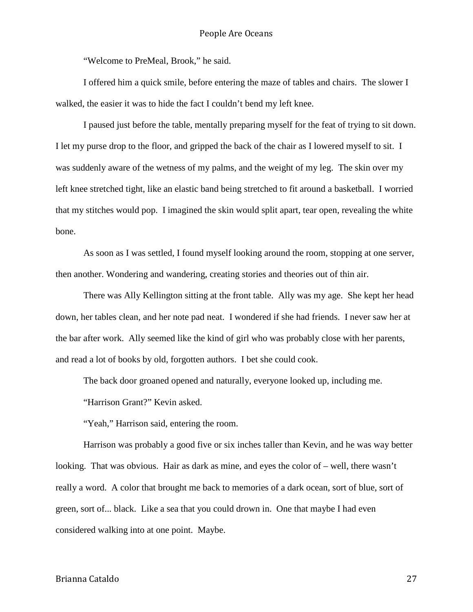"Welcome to PreMeal, Brook," he said.

I offered him a quick smile, before entering the maze of tables and chairs. The slower I walked, the easier it was to hide the fact I couldn't bend my left knee.

I paused just before the table, mentally preparing myself for the feat of trying to sit down. I let my purse drop to the floor, and gripped the back of the chair as I lowered myself to sit. I was suddenly aware of the wetness of my palms, and the weight of my leg. The skin over my left knee stretched tight, like an elastic band being stretched to fit around a basketball. I worried that my stitches would pop. I imagined the skin would split apart, tear open, revealing the white bone.

As soon as I was settled, I found myself looking around the room, stopping at one server, then another. Wondering and wandering, creating stories and theories out of thin air.

There was Ally Kellington sitting at the front table. Ally was my age. She kept her head down, her tables clean, and her note pad neat. I wondered if she had friends. I never saw her at the bar after work. Ally seemed like the kind of girl who was probably close with her parents, and read a lot of books by old, forgotten authors. I bet she could cook.

The back door groaned opened and naturally, everyone looked up, including me.

"Harrison Grant?" Kevin asked.

"Yeah," Harrison said, entering the room.

Harrison was probably a good five or six inches taller than Kevin, and he was way better looking. That was obvious. Hair as dark as mine, and eyes the color of – well, there wasn't really a word. A color that brought me back to memories of a dark ocean, sort of blue, sort of green, sort of... black. Like a sea that you could drown in. One that maybe I had even considered walking into at one point. Maybe.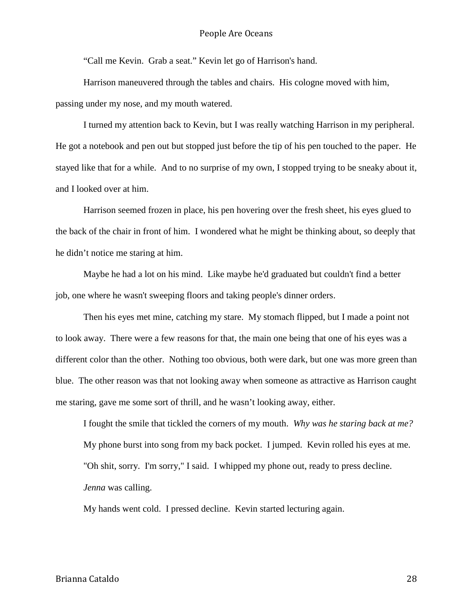"Call me Kevin. Grab a seat." Kevin let go of Harrison's hand.

Harrison maneuvered through the tables and chairs. His cologne moved with him, passing under my nose, and my mouth watered.

I turned my attention back to Kevin, but I was really watching Harrison in my peripheral. He got a notebook and pen out but stopped just before the tip of his pen touched to the paper. He stayed like that for a while. And to no surprise of my own, I stopped trying to be sneaky about it, and I looked over at him.

Harrison seemed frozen in place, his pen hovering over the fresh sheet, his eyes glued to the back of the chair in front of him. I wondered what he might be thinking about, so deeply that he didn't notice me staring at him.

Maybe he had a lot on his mind. Like maybe he'd graduated but couldn't find a better job, one where he wasn't sweeping floors and taking people's dinner orders.

Then his eyes met mine, catching my stare. My stomach flipped, but I made a point not to look away. There were a few reasons for that, the main one being that one of his eyes was a different color than the other. Nothing too obvious, both were dark, but one was more green than blue. The other reason was that not looking away when someone as attractive as Harrison caught me staring, gave me some sort of thrill, and he wasn't looking away, either.

I fought the smile that tickled the corners of my mouth. *Why was he staring back at me?* My phone burst into song from my back pocket. I jumped. Kevin rolled his eyes at me. "Oh shit, sorry. I'm sorry," I said. I whipped my phone out, ready to press decline. *Jenna* was calling.

My hands went cold. I pressed decline. Kevin started lecturing again.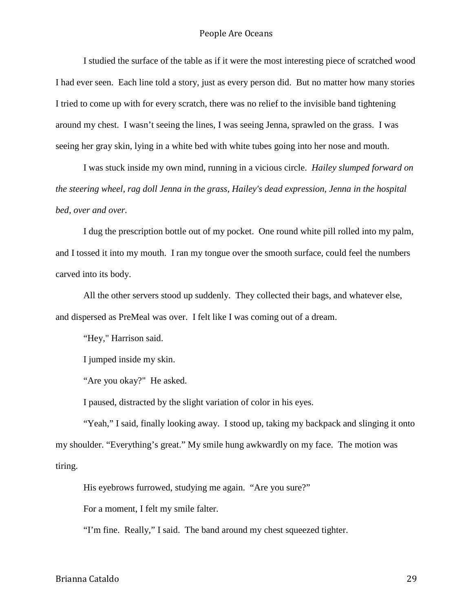I studied the surface of the table as if it were the most interesting piece of scratched wood I had ever seen. Each line told a story, just as every person did. But no matter how many stories I tried to come up with for every scratch, there was no relief to the invisible band tightening around my chest. I wasn't seeing the lines, I was seeing Jenna, sprawled on the grass. I was seeing her gray skin, lying in a white bed with white tubes going into her nose and mouth.

I was stuck inside my own mind, running in a vicious circle. *Hailey slumped forward on the steering wheel, rag doll Jenna in the grass, Hailey's dead expression, Jenna in the hospital bed, over and over.* 

I dug the prescription bottle out of my pocket. One round white pill rolled into my palm, and I tossed it into my mouth. I ran my tongue over the smooth surface, could feel the numbers carved into its body.

All the other servers stood up suddenly. They collected their bags, and whatever else, and dispersed as PreMeal was over. I felt like I was coming out of a dream.

"Hey," Harrison said.

I jumped inside my skin.

"Are you okay?" He asked.

I paused, distracted by the slight variation of color in his eyes.

"Yeah," I said, finally looking away. I stood up, taking my backpack and slinging it onto my shoulder. "Everything's great." My smile hung awkwardly on my face. The motion was tiring.

His eyebrows furrowed, studying me again. "Are you sure?"

For a moment, I felt my smile falter.

"I'm fine. Really," I said. The band around my chest squeezed tighter.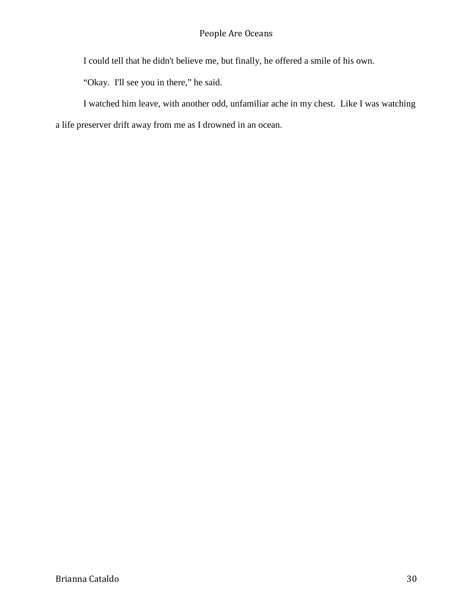I could tell that he didn't believe me, but finally, he offered a smile of his own.

"Okay. I'll see you in there," he said.

I watched him leave, with another odd, unfamiliar ache in my chest. Like I was watching a life preserver drift away from me as I drowned in an ocean.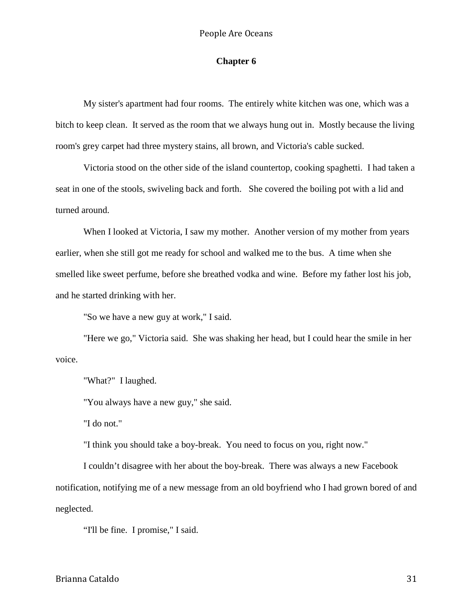#### **Chapter 6**

My sister's apartment had four rooms. The entirely white kitchen was one, which was a bitch to keep clean. It served as the room that we always hung out in. Mostly because the living room's grey carpet had three mystery stains, all brown, and Victoria's cable sucked.

Victoria stood on the other side of the island countertop, cooking spaghetti. I had taken a seat in one of the stools, swiveling back and forth. She covered the boiling pot with a lid and turned around.

When I looked at Victoria, I saw my mother. Another version of my mother from years earlier, when she still got me ready for school and walked me to the bus. A time when she smelled like sweet perfume, before she breathed vodka and wine. Before my father lost his job, and he started drinking with her.

"So we have a new guy at work," I said.

"Here we go," Victoria said. She was shaking her head, but I could hear the smile in her voice.

"What?" I laughed.

"You always have a new guy," she said.

"I do not."

"I think you should take a boy-break. You need to focus on you, right now."

I couldn't disagree with her about the boy-break. There was always a new Facebook notification, notifying me of a new message from an old boyfriend who I had grown bored of and neglected.

"I'll be fine. I promise," I said.

Brianna Cataldo 31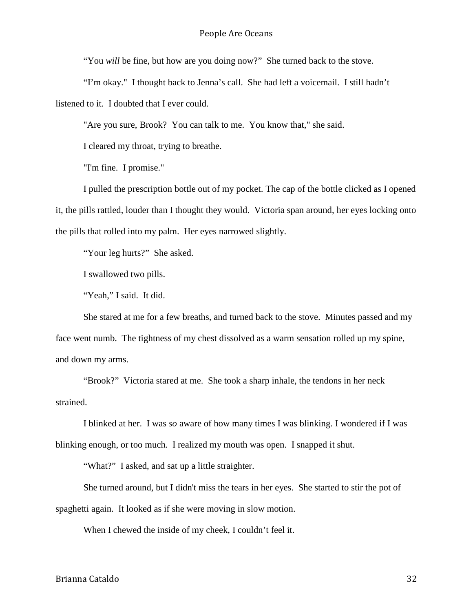"You *will* be fine, but how are you doing now?" She turned back to the stove.

"I'm okay." I thought back to Jenna's call. She had left a voicemail. I still hadn't listened to it. I doubted that I ever could.

"Are you sure, Brook? You can talk to me. You know that," she said.

I cleared my throat, trying to breathe.

"I'm fine. I promise."

I pulled the prescription bottle out of my pocket. The cap of the bottle clicked as I opened it, the pills rattled, louder than I thought they would. Victoria span around, her eyes locking onto the pills that rolled into my palm. Her eyes narrowed slightly.

"Your leg hurts?" She asked.

I swallowed two pills.

"Yeah," I said. It did.

She stared at me for a few breaths, and turned back to the stove. Minutes passed and my face went numb. The tightness of my chest dissolved as a warm sensation rolled up my spine, and down my arms.

"Brook?" Victoria stared at me. She took a sharp inhale, the tendons in her neck strained.

I blinked at her. I was *so* aware of how many times I was blinking. I wondered if I was blinking enough, or too much. I realized my mouth was open. I snapped it shut.

"What?" I asked, and sat up a little straighter.

She turned around, but I didn't miss the tears in her eyes. She started to stir the pot of spaghetti again. It looked as if she were moving in slow motion.

When I chewed the inside of my cheek, I couldn't feel it.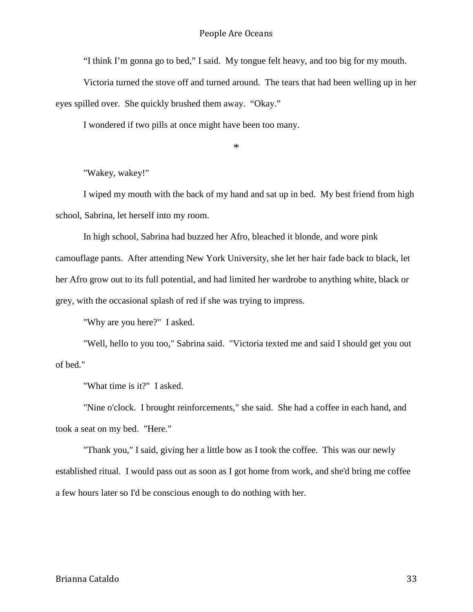"I think I'm gonna go to bed," I said. My tongue felt heavy, and too big for my mouth.

Victoria turned the stove off and turned around. The tears that had been welling up in her eyes spilled over. She quickly brushed them away. "Okay."

I wondered if two pills at once might have been too many.

\*

"Wakey, wakey!"

I wiped my mouth with the back of my hand and sat up in bed. My best friend from high school, Sabrina, let herself into my room.

In high school, Sabrina had buzzed her Afro, bleached it blonde, and wore pink camouflage pants. After attending New York University, she let her hair fade back to black, let her Afro grow out to its full potential, and had limited her wardrobe to anything white, black or grey, with the occasional splash of red if she was trying to impress.

"Why are you here?" I asked.

"Well, hello to you too," Sabrina said. "Victoria texted me and said I should get you out of bed."

"What time is it?" I asked.

"Nine o'clock. I brought reinforcements," she said. She had a coffee in each hand, and took a seat on my bed. "Here."

"Thank you," I said, giving her a little bow as I took the coffee. This was our newly established ritual. I would pass out as soon as I got home from work, and she'd bring me coffee a few hours later so I'd be conscious enough to do nothing with her.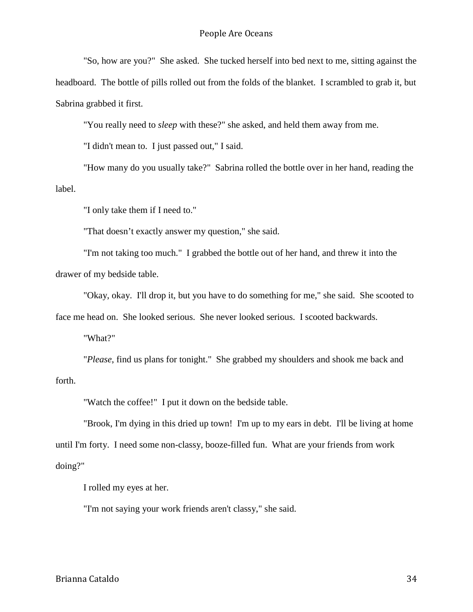"So, how are you?" She asked. She tucked herself into bed next to me, sitting against the headboard. The bottle of pills rolled out from the folds of the blanket. I scrambled to grab it, but Sabrina grabbed it first.

"You really need to *sleep* with these?" she asked, and held them away from me.

"I didn't mean to. I just passed out," I said.

"How many do you usually take?" Sabrina rolled the bottle over in her hand, reading the label.

"I only take them if I need to."

"That doesn't exactly answer my question," she said.

"I'm not taking too much." I grabbed the bottle out of her hand, and threw it into the drawer of my bedside table.

"Okay, okay. I'll drop it, but you have to do something for me," she said. She scooted to face me head on. She looked serious. She never looked serious. I scooted backwards.

"What?"

"*Please*, find us plans for tonight." She grabbed my shoulders and shook me back and forth.

"Watch the coffee!" I put it down on the bedside table.

"Brook, I'm dying in this dried up town! I'm up to my ears in debt. I'll be living at home until I'm forty. I need some non-classy, booze-filled fun. What are your friends from work doing?"

I rolled my eyes at her.

"I'm not saying your work friends aren't classy," she said.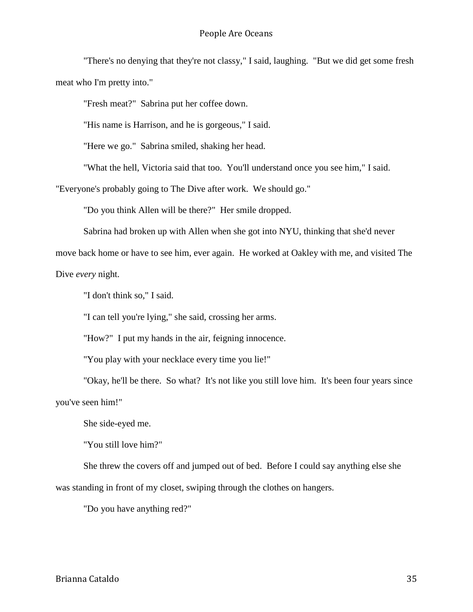"There's no denying that they're not classy," I said, laughing. "But we did get some fresh meat who I'm pretty into."

"Fresh meat?" Sabrina put her coffee down.

"His name is Harrison, and he is gorgeous," I said.

"Here we go." Sabrina smiled, shaking her head.

"What the hell, Victoria said that too. You'll understand once you see him," I said.

"Everyone's probably going to The Dive after work. We should go."

"Do you think Allen will be there?" Her smile dropped.

Sabrina had broken up with Allen when she got into NYU, thinking that she'd never

move back home or have to see him, ever again. He worked at Oakley with me, and visited The Dive *every* night.

"I don't think so," I said.

"I can tell you're lying," she said, crossing her arms.

"How?" I put my hands in the air, feigning innocence.

"You play with your necklace every time you lie!"

"Okay, he'll be there. So what? It's not like you still love him. It's been four years since you've seen him!"

She side-eyed me.

"You still love him?"

She threw the covers off and jumped out of bed. Before I could say anything else she was standing in front of my closet, swiping through the clothes on hangers.

"Do you have anything red?"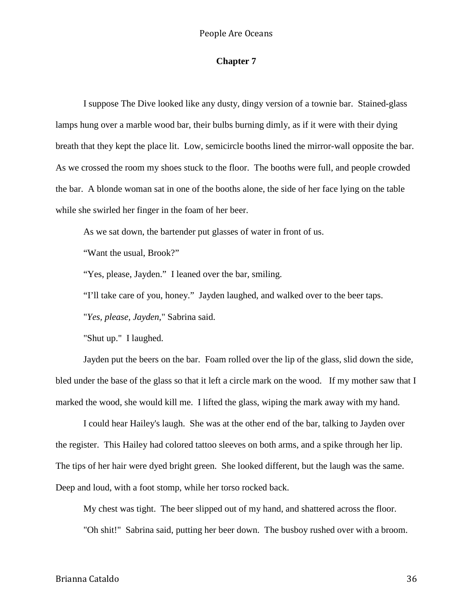# **Chapter 7**

I suppose The Dive looked like any dusty, dingy version of a townie bar. Stained-glass lamps hung over a marble wood bar, their bulbs burning dimly, as if it were with their dying breath that they kept the place lit. Low, semicircle booths lined the mirror-wall opposite the bar. As we crossed the room my shoes stuck to the floor. The booths were full, and people crowded the bar. A blonde woman sat in one of the booths alone, the side of her face lying on the table while she swirled her finger in the foam of her beer.

As we sat down, the bartender put glasses of water in front of us.

"Want the usual, Brook?"

"Yes, please, Jayden." I leaned over the bar, smiling.

"I'll take care of you, honey." Jayden laughed, and walked over to the beer taps.

"*Yes, please, Jayden,*" Sabrina said.

"Shut up." I laughed.

Jayden put the beers on the bar. Foam rolled over the lip of the glass, slid down the side, bled under the base of the glass so that it left a circle mark on the wood. If my mother saw that I marked the wood, she would kill me. I lifted the glass, wiping the mark away with my hand.

I could hear Hailey's laugh. She was at the other end of the bar, talking to Jayden over the register. This Hailey had colored tattoo sleeves on both arms, and a spike through her lip. The tips of her hair were dyed bright green. She looked different, but the laugh was the same. Deep and loud, with a foot stomp, while her torso rocked back.

My chest was tight. The beer slipped out of my hand, and shattered across the floor.

"Oh shit!" Sabrina said, putting her beer down. The busboy rushed over with a broom.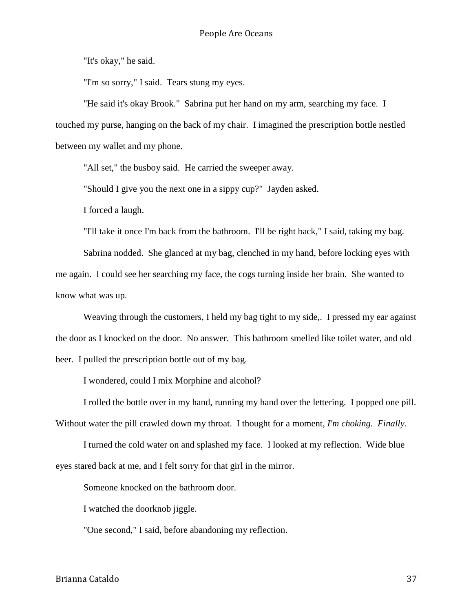"It's okay," he said.

"I'm so sorry," I said. Tears stung my eyes.

"He said it's okay Brook." Sabrina put her hand on my arm, searching my face. I touched my purse, hanging on the back of my chair. I imagined the prescription bottle nestled between my wallet and my phone.

"All set," the busboy said. He carried the sweeper away.

"Should I give you the next one in a sippy cup?" Jayden asked.

I forced a laugh.

"I'll take it once I'm back from the bathroom. I'll be right back," I said, taking my bag.

Sabrina nodded. She glanced at my bag, clenched in my hand, before locking eyes with me again. I could see her searching my face, the cogs turning inside her brain. She wanted to know what was up.

Weaving through the customers, I held my bag tight to my side,. I pressed my ear against the door as I knocked on the door. No answer. This bathroom smelled like toilet water, and old beer. I pulled the prescription bottle out of my bag.

I wondered, could I mix Morphine and alcohol?

I rolled the bottle over in my hand, running my hand over the lettering. I popped one pill. Without water the pill crawled down my throat. I thought for a moment, *I'm choking. Finally.*

I turned the cold water on and splashed my face. I looked at my reflection. Wide blue eyes stared back at me, and I felt sorry for that girl in the mirror.

Someone knocked on the bathroom door.

I watched the doorknob jiggle.

"One second," I said, before abandoning my reflection.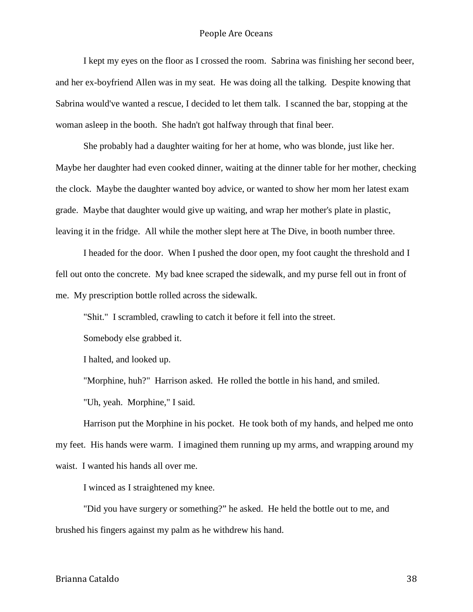I kept my eyes on the floor as I crossed the room. Sabrina was finishing her second beer, and her ex-boyfriend Allen was in my seat. He was doing all the talking. Despite knowing that Sabrina would've wanted a rescue, I decided to let them talk. I scanned the bar, stopping at the woman asleep in the booth. She hadn't got halfway through that final beer.

She probably had a daughter waiting for her at home, who was blonde, just like her. Maybe her daughter had even cooked dinner, waiting at the dinner table for her mother, checking the clock. Maybe the daughter wanted boy advice, or wanted to show her mom her latest exam grade. Maybe that daughter would give up waiting, and wrap her mother's plate in plastic, leaving it in the fridge. All while the mother slept here at The Dive, in booth number three.

I headed for the door. When I pushed the door open, my foot caught the threshold and I fell out onto the concrete. My bad knee scraped the sidewalk, and my purse fell out in front of me. My prescription bottle rolled across the sidewalk.

"Shit." I scrambled, crawling to catch it before it fell into the street.

Somebody else grabbed it.

I halted, and looked up.

"Morphine, huh?" Harrison asked. He rolled the bottle in his hand, and smiled.

"Uh, yeah. Morphine," I said.

Harrison put the Morphine in his pocket. He took both of my hands, and helped me onto my feet. His hands were warm. I imagined them running up my arms, and wrapping around my waist. I wanted his hands all over me.

I winced as I straightened my knee.

"Did you have surgery or something?" he asked. He held the bottle out to me, and brushed his fingers against my palm as he withdrew his hand.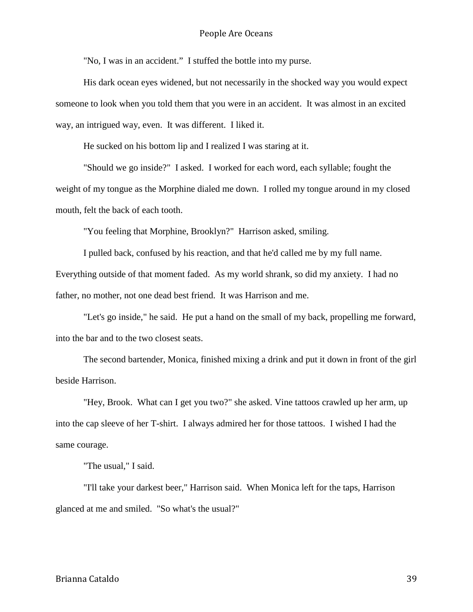"No, I was in an accident." I stuffed the bottle into my purse.

His dark ocean eyes widened, but not necessarily in the shocked way you would expect someone to look when you told them that you were in an accident. It was almost in an excited way, an intrigued way, even. It was different. I liked it.

He sucked on his bottom lip and I realized I was staring at it.

"Should we go inside?" I asked. I worked for each word, each syllable; fought the weight of my tongue as the Morphine dialed me down. I rolled my tongue around in my closed mouth, felt the back of each tooth.

"You feeling that Morphine, Brooklyn?" Harrison asked, smiling.

I pulled back, confused by his reaction, and that he'd called me by my full name. Everything outside of that moment faded. As my world shrank, so did my anxiety. I had no father, no mother, not one dead best friend. It was Harrison and me.

"Let's go inside," he said. He put a hand on the small of my back, propelling me forward, into the bar and to the two closest seats.

The second bartender, Monica, finished mixing a drink and put it down in front of the girl beside Harrison.

"Hey, Brook. What can I get you two?" she asked. Vine tattoos crawled up her arm, up into the cap sleeve of her T-shirt. I always admired her for those tattoos. I wished I had the same courage.

"The usual," I said.

"I'll take your darkest beer," Harrison said. When Monica left for the taps, Harrison glanced at me and smiled. "So what's the usual?"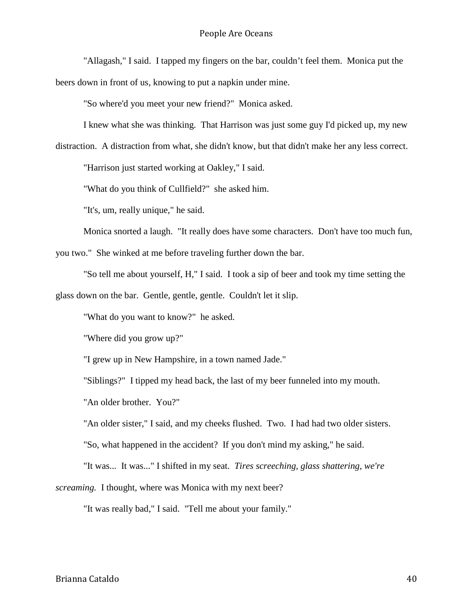"Allagash," I said. I tapped my fingers on the bar, couldn't feel them. Monica put the beers down in front of us, knowing to put a napkin under mine.

"So where'd you meet your new friend?" Monica asked.

I knew what she was thinking. That Harrison was just some guy I'd picked up, my new

distraction. A distraction from what, she didn't know, but that didn't make her any less correct.

"Harrison just started working at Oakley," I said.

"What do you think of Cullfield?" she asked him.

"It's, um, really unique," he said.

Monica snorted a laugh. "It really does have some characters. Don't have too much fun,

you two." She winked at me before traveling further down the bar.

"So tell me about yourself, H," I said. I took a sip of beer and took my time setting the glass down on the bar. Gentle, gentle, gentle. Couldn't let it slip.

"What do you want to know?" he asked.

"Where did you grow up?"

"I grew up in New Hampshire, in a town named Jade."

"Siblings?" I tipped my head back, the last of my beer funneled into my mouth.

"An older brother. You?"

"An older sister," I said, and my cheeks flushed. Two. I had had two older sisters.

"So, what happened in the accident? If you don't mind my asking," he said.

"It was... It was..." I shifted in my seat. *Tires screeching, glass shattering, we're* 

*screaming.* I thought*,* where was Monica with my next beer?

"It was really bad," I said. "Tell me about your family."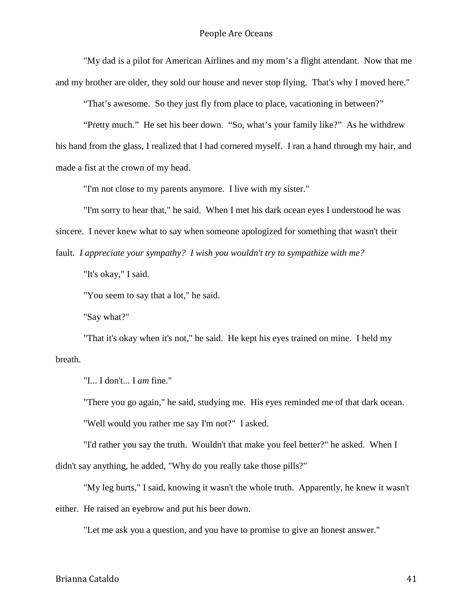"My dad is a pilot for American Airlines and my mom's a flight attendant. Now that me and my brother are older, they sold our house and never stop flying. That's why I moved here."

"That's awesome. So they just fly from place to place, vacationing in between?"

"Pretty much." He set his beer down. "So, what's your family like?" As he withdrew his hand from the glass, I realized that I had cornered myself. I ran a hand through my hair, and made a fist at the crown of my head.

"I'm not close to my parents anymore. I live with my sister."

"I'm sorry to hear that," he said. When I met his dark ocean eyes I understood he was sincere. I never knew what to say when someone apologized for something that wasn't their fault. *I appreciate your sympathy? I wish you wouldn't try to sympathize with me?*

"It's okay," I said.

"You seem to say that a lot," he said.

"Say what?"

"That it's okay when it's not," he said. He kept his eyes trained on mine. I held my breath.

"I... I don't... I *am* fine."

"There you go again," he said, studying me. His eyes reminded me of that dark ocean.

"Well would you rather me say I'm not?" I asked.

"I'd rather you say the truth. Wouldn't that make you feel better?" he asked. When I didn't say anything, he added, "Why do you really take those pills?"

"My leg hurts," I said, knowing it wasn't the whole truth. Apparently, he knew it wasn't either. He raised an eyebrow and put his beer down.

"Let me ask you a question, and you have to promise to give an honest answer."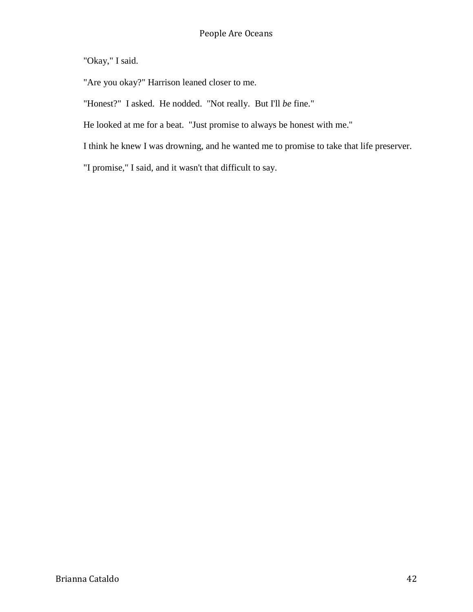"Okay," I said.

"Are you okay?" Harrison leaned closer to me.

"Honest?" I asked. He nodded. "Not really. But I'll *be* fine."

He looked at me for a beat. "Just promise to always be honest with me."

I think he knew I was drowning, and he wanted me to promise to take that life preserver.

"I promise," I said, and it wasn't that difficult to say.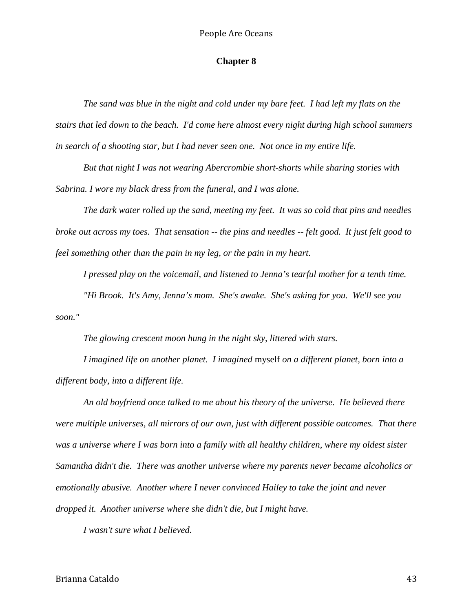#### **Chapter 8**

*The sand was blue in the night and cold under my bare feet. I had left my flats on the stairs that led down to the beach. I'd come here almost every night during high school summers in search of a shooting star, but I had never seen one. Not once in my entire life.* 

*But that night I was not wearing Abercrombie short-shorts while sharing stories with Sabrina. I wore my black dress from the funeral, and I was alone.*

*The dark water rolled up the sand, meeting my feet. It was so cold that pins and needles broke out across my toes. That sensation -- the pins and needles -- felt good. It just felt good to feel something other than the pain in my leg, or the pain in my heart.*

*I pressed play on the voicemail, and listened to Jenna's tearful mother for a tenth time. "Hi Brook. It's Amy, Jenna's mom. She's awake. She's asking for you. We'll see you soon."*

*The glowing crescent moon hung in the night sky, littered with stars.*

*I imagined life on another planet. I imagined* myself *on a different planet, born into a different body, into a different life.*

*An old boyfriend once talked to me about his theory of the universe. He believed there were multiple universes, all mirrors of our own, just with different possible outcomes. That there was a universe where I was born into a family with all healthy children, where my oldest sister Samantha didn't die. There was another universe where my parents never became alcoholics or emotionally abusive. Another where I never convinced Hailey to take the joint and never dropped it. Another universe where she didn't die, but I might have.*

*I wasn't sure what I believed.*